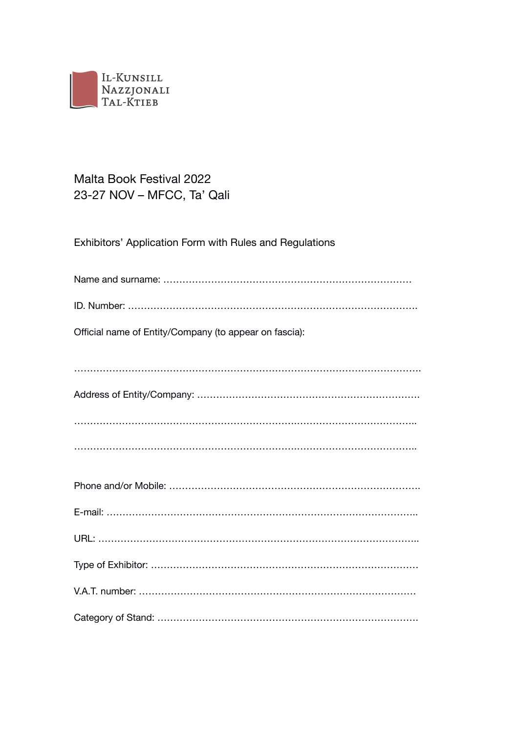

# Malta Book Festival 2022 23-27 NOV – MFCC, Ta' Qali

Exhibitors' Application Form with Rules and Regulations

| Official name of Entity/Company (to appear on fascia): |
|--------------------------------------------------------|
|                                                        |
|                                                        |
|                                                        |
|                                                        |
|                                                        |
|                                                        |
|                                                        |
|                                                        |
|                                                        |
|                                                        |
|                                                        |
|                                                        |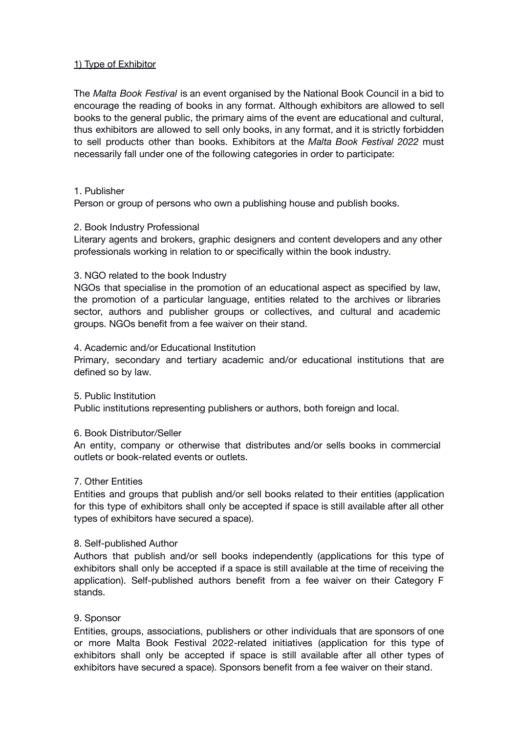# 1) Type of Exhibitor

The *Malta Book Festival* is an event organised by the National Book Council in a bid to encourage the reading of books in any format. Although exhibitors are allowed to sell books to the general public, the primary aims of the event are educational and cultural, thus exhibitors are allowed to sell only books, in any format, and it is strictly forbidden to sell products other than books. Exhibitors at the *Malta Book Festival 2022* must necessarily fall under one of the following categories in order to participate:

#### 1. Publisher

Person or group of persons who own a publishing house and publish books.

### 2. Book Industry Professional

Literary agents and brokers, graphic designers and content developers and any other professionals working in relation to or specifically within the book industry.

### 3. NGO related to the book Industry

NGOs that specialise in the promotion of an educational aspect as specified by law, the promotion of a particular language, entities related to the archives or libraries sector, authors and publisher groups or collectives, and cultural and academic groups. NGOs benefit from a fee waiver on their stand.

### 4. Academic and/or Educational Institution

Primary, secondary and tertiary academic and/or educational institutions that are defined so by law.

#### 5. Public Institution

Public institutions representing publishers or authors, both foreign and local.

#### 6. Book Distributor/Seller

An entity, company or otherwise that distributes and/or sells books in commercial outlets or book-related events or outlets.

# 7. Other Entities

Entities and groups that publish and/or sell books related to their entities (application for this type of exhibitors shall only be accepted if space is still available after all other types of exhibitors have secured a space).

#### 8. Self-published Author

Authors that publish and/or sell books independently (applications for this type of exhibitors shall only be accepted if a space is still available at the time of receiving the application). Self-published authors benefit from a fee waiver on their Category F stands.

# 9. Sponsor

Entities, groups, associations, publishers or other individuals that are sponsors of one or more Malta Book Festival 2022-related initiatives (application for this type of exhibitors shall only be accepted if space is still available after all other types of exhibitors have secured a space). Sponsors benefit from a fee waiver on their stand.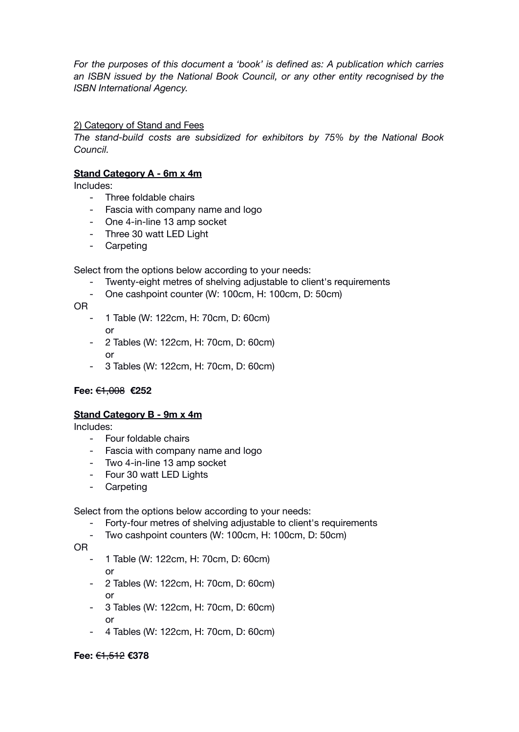*For the purposes of this document a 'book' is defined as: A publication which carries an ISBN issued by the National Book Council, or any other entity recognised by the ISBN International Agency.*

# 2) Category of Stand and Fees

*The stand-build costs are subsidized for exhibitors by 75% by the National Book Council.*

# **Stand Category A - 6m x 4m**

Includes:

- Three foldable chairs
- Fascia with company name and logo
- One 4-in-line 13 amp socket
- Three 30 watt LED Light
- Carpeting

Select from the options below according to your needs:

- Twenty-eight metres of shelving adjustable to client's requirements
- One cashpoint counter (W: 100cm, H: 100cm, D: 50cm)

OR

- 1 Table (W: 122cm, H: 70cm, D: 60cm) or
- 2 Tables (W: 122cm, H: 70cm, D: 60cm) or
- 3 Tables (W: 122cm, H: 70cm, D: 60cm)

# **Fee:** €1,008 **€252**

# **Stand Category B - 9m x 4m**

Includes:

- Four foldable chairs
- Fascia with company name and logo
- Two 4-in-line 13 amp socket
- Four 30 watt LED Lights
- Carpeting

Select from the options below according to your needs:

- Forty-four metres of shelving adjustable to client's requirements
- Two cashpoint counters (W: 100cm, H: 100cm, D: 50cm)

OR

- 1 Table (W: 122cm, H: 70cm, D: 60cm) or
- 2 Tables (W: 122cm, H: 70cm, D: 60cm) or
- 3 Tables (W: 122cm, H: 70cm, D: 60cm) or
- 4 Tables (W: 122cm, H: 70cm, D: 60cm)

# **Fee:** €1,512 **€378**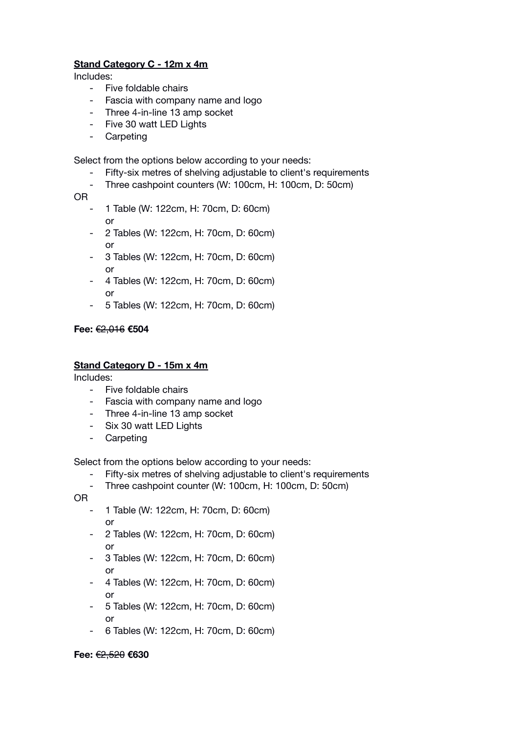# **Stand Category C - 12m x 4m**

Includes:

- Five foldable chairs
- Fascia with company name and logo
- Three 4-in-line 13 amp socket
- Five 30 watt LED Lights
- Carpeting

Select from the options below according to your needs:

- Fifty-six metres of shelving adjustable to client's requirements
- Three cashpoint counters (W: 100cm, H: 100cm, D: 50cm)
- OR
	- 1 Table (W: 122cm, H: 70cm, D: 60cm) or
	- 2 Tables (W: 122cm, H: 70cm, D: 60cm) or
	- 3 Tables (W: 122cm, H: 70cm, D: 60cm) or
	- 4 Tables (W: 122cm, H: 70cm, D: 60cm) or
	- 5 Tables (W: 122cm, H: 70cm, D: 60cm)

# **Fee:** €2,016 **€504**

# **Stand Category D - 15m x 4m**

Includes:

- Five foldable chairs
- Fascia with company name and logo
- Three 4-in-line 13 amp socket
- Six 30 watt LED Lights
- Carpeting

Select from the options below according to your needs:

- Fifty-six metres of shelving adjustable to client's requirements
- Three cashpoint counter (W: 100cm, H: 100cm, D: 50cm)

OR

- 1 Table (W: 122cm, H: 70cm, D: 60cm) or
- 2 Tables (W: 122cm, H: 70cm, D: 60cm) or
- 3 Tables (W: 122cm, H: 70cm, D: 60cm) or
- 4 Tables (W: 122cm, H: 70cm, D: 60cm) or
- 5 Tables (W: 122cm, H: 70cm, D: 60cm) or
- 6 Tables (W: 122cm, H: 70cm, D: 60cm)

# **Fee:** €2,520 **€630**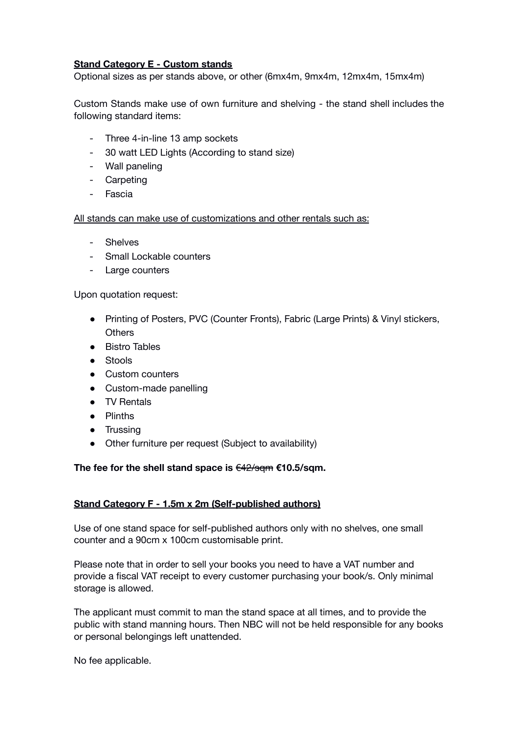# **Stand Category E - Custom stands**

Optional sizes as per stands above, or other (6mx4m, 9mx4m, 12mx4m, 15mx4m)

Custom Stands make use of own furniture and shelving - the stand shell includes the following standard items:

- Three 4-in-line 13 amp sockets
- 30 watt LED Lights (According to stand size)
- Wall paneling
- Carpeting
- Fascia

All stands can make use of customizations and other rentals such as:

- Shelves
- Small Lockable counters
- Large counters

Upon quotation request:

- Printing of Posters, PVC (Counter Fronts), Fabric (Large Prints) & Vinyl stickers, **Others**
- Bistro Tables
- Stools
- Custom counters
- Custom-made panelling
- TV Rentals
- Plinths
- Trussing
- Other furniture per request (Subject to availability)

# **The fee for the shell stand space is** €42/sqm **€10.5/sqm.**

# **Stand Category F - 1.5m x 2m (Self-published authors)**

Use of one stand space for self-published authors only with no shelves, one small counter and a 90cm x 100cm customisable print.

Please note that in order to sell your books you need to have a VAT number and provide a fiscal VAT receipt to every customer purchasing your book/s. Only minimal storage is allowed.

The applicant must commit to man the stand space at all times, and to provide the public with stand manning hours. Then NBC will not be held responsible for any books or personal belongings left unattended.

No fee applicable.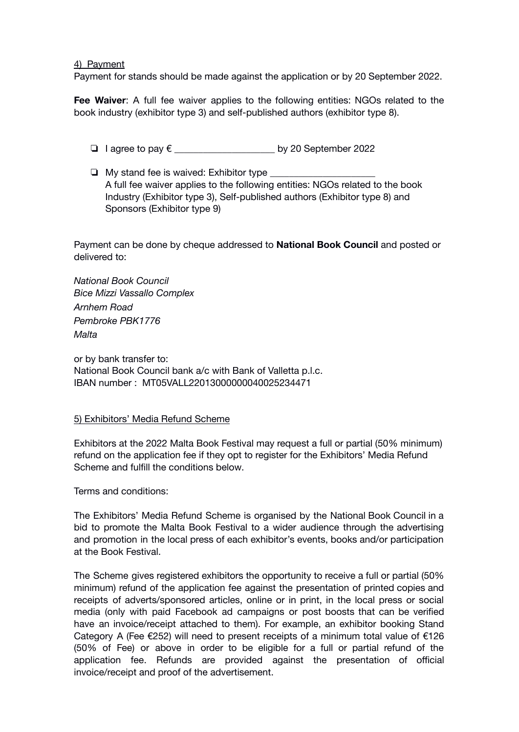#### 4) Payment

Payment for stands should be made against the application or by 20 September 2022.

**Fee Waiver**: A full fee waiver applies to the following entities: NGOs related to the book industry (exhibitor type 3) and self-published authors (exhibitor type 8).

- ❏ I agree to pay € \_\_\_\_\_\_\_\_\_\_\_\_\_\_\_\_\_\_\_\_\_ by 20 September 2022
- $\Box$  My stand fee is waived: Exhibitor type A full fee waiver applies to the following entities: NGOs related to the book Industry (Exhibitor type 3), Self-published authors (Exhibitor type 8) and Sponsors (Exhibitor type 9)

Payment can be done by cheque addressed to **National Book Council** and posted or delivered to:

*National Book Council Bice Mizzi Vassallo Complex Arnhem Road Pembroke PBK1776 Malta*

or by bank transfer to: National Book Council bank a/c with Bank of Valletta p.l.c. IBAN number : MT05VALL22013000000040025234471

# 5) Exhibitors' Media Refund Scheme

Exhibitors at the 2022 Malta Book Festival may request a full or partial (50% minimum) refund on the application fee if they opt to register for the Exhibitors' Media Refund Scheme and fulfill the conditions below.

Terms and conditions:

The Exhibitors' Media Refund Scheme is organised by the National Book Council in a bid to promote the Malta Book Festival to a wider audience through the advertising and promotion in the local press of each exhibitor's events, books and/or participation at the Book Festival.

The Scheme gives registered exhibitors the opportunity to receive a full or partial (50% minimum) refund of the application fee against the presentation of printed copies and receipts of adverts/sponsored articles, online or in print, in the local press or social media (only with paid Facebook ad campaigns or post boosts that can be verified have an invoice/receipt attached to them). For example, an exhibitor booking Stand Category A (Fee  $E$ 252) will need to present receipts of a minimum total value of  $E$ 126 (50% of Fee) or above in order to be eligible for a full or partial refund of the application fee. Refunds are provided against the presentation of official invoice/receipt and proof of the advertisement.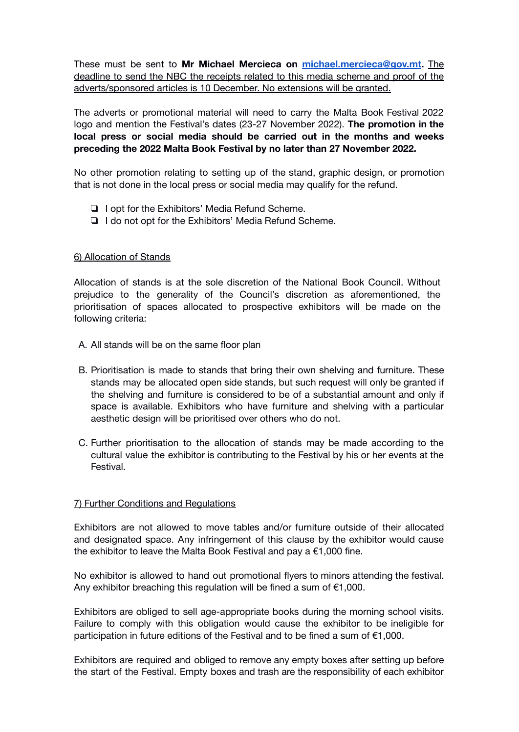These must be sent to **Mr Michael Mercieca on [michael.mercieca@gov.mt](mailto:michael.mercieca@gov.mt).** The deadline to send the NBC the receipts related to this media scheme and proof of the adverts/sponsored articles is 10 December. No extensions will be granted.

The adverts or promotional material will need to carry the Malta Book Festival 2022 logo and mention the Festival's dates (23-27 November 2022). **The promotion in the local press or social media should be carried out in the months and weeks preceding the 2022 Malta Book Festival by no later than 27 November 2022.**

No other promotion relating to setting up of the stand, graphic design, or promotion that is not done in the local press or social media may qualify for the refund.

- ❏ I opt for the Exhibitors' Media Refund Scheme.
- ❏ I do not opt for the Exhibitors' Media Refund Scheme.

# 6) Allocation of Stands

Allocation of stands is at the sole discretion of the National Book Council. Without prejudice to the generality of the Council's discretion as aforementioned, the prioritisation of spaces allocated to prospective exhibitors will be made on the following criteria:

- A. All stands will be on the same floor plan
- B. Prioritisation is made to stands that bring their own shelving and furniture. These stands may be allocated open side stands, but such request will only be granted if the shelving and furniture is considered to be of a substantial amount and only if space is available. Exhibitors who have furniture and shelving with a particular aesthetic design will be prioritised over others who do not.
- C. Further prioritisation to the allocation of stands may be made according to the cultural value the exhibitor is contributing to the Festival by his or her events at the Festival.

# 7) Further Conditions and Regulations

Exhibitors are not allowed to move tables and/or furniture outside of their allocated and designated space. Any infringement of this clause by the exhibitor would cause the exhibitor to leave the Malta Book Festival and pay a €1,000 fine.

No exhibitor is allowed to hand out promotional flyers to minors attending the festival. Any exhibitor breaching this regulation will be fined a sum of  $E1,000$ .

Exhibitors are obliged to sell age-appropriate books during the morning school visits. Failure to comply with this obligation would cause the exhibitor to be ineligible for participation in future editions of the Festival and to be fined a sum of €1,000.

Exhibitors are required and obliged to remove any empty boxes after setting up before the start of the Festival. Empty boxes and trash are the responsibility of each exhibitor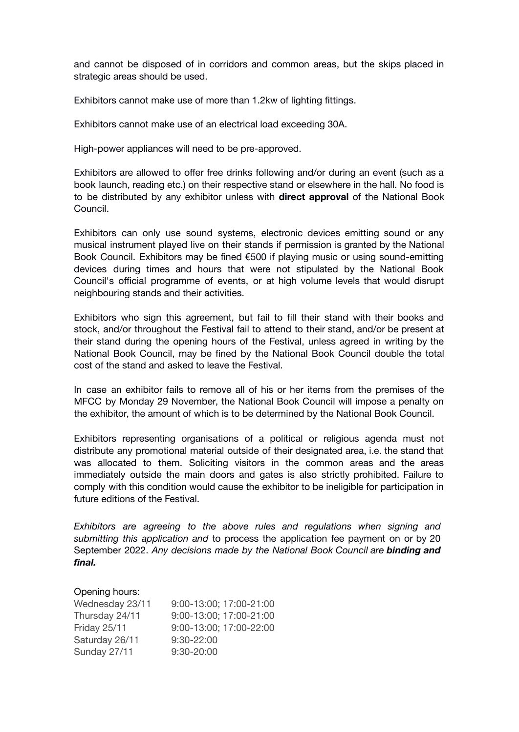and cannot be disposed of in corridors and common areas, but the skips placed in strategic areas should be used.

Exhibitors cannot make use of more than 1.2kw of lighting fittings.

Exhibitors cannot make use of an electrical load exceeding 30A.

High-power appliances will need to be pre-approved.

Exhibitors are allowed to offer free drinks following and/or during an event (such as a book launch, reading etc.) on their respective stand or elsewhere in the hall. No food is to be distributed by any exhibitor unless with **direct approval** of the National Book Council.

Exhibitors can only use sound systems, electronic devices emitting sound or any musical instrument played live on their stands if permission is granted by the National Book Council. Exhibitors may be fined €500 if playing music or using sound-emitting devices during times and hours that were not stipulated by the National Book Council's official programme of events, or at high volume levels that would disrupt neighbouring stands and their activities.

Exhibitors who sign this agreement, but fail to fill their stand with their books and stock, and/or throughout the Festival fail to attend to their stand, and/or be present at their stand during the opening hours of the Festival, unless agreed in writing by the National Book Council, may be fined by the National Book Council double the total cost of the stand and asked to leave the Festival.

In case an exhibitor fails to remove all of his or her items from the premises of the MFCC by Monday 29 November, the National Book Council will impose a penalty on the exhibitor, the amount of which is to be determined by the National Book Council.

Exhibitors representing organisations of a political or religious agenda must not distribute any promotional material outside of their designated area, i.e. the stand that was allocated to them. Soliciting visitors in the common areas and the areas immediately outside the main doors and gates is also strictly prohibited. Failure to comply with this condition would cause the exhibitor to be ineligible for participation in future editions of the Festival.

*Exhibitors are agreeing to the above rules and regulations when signing and submitting this application and* to process the application fee payment on or by 20 September 2022. *Any decisions made by the National Book Council are binding and final.*

#### Opening hours:

| Wednesday 23/11 | 9:00-13:00; 17:00-21:00 |
|-----------------|-------------------------|
| Thursday 24/11  | 9:00-13:00; 17:00-21:00 |
| Friday 25/11    | 9:00-13:00; 17:00-22:00 |
| Saturday 26/11  | $9:30 - 22:00$          |
| Sunday 27/11    | $9:30 - 20:00$          |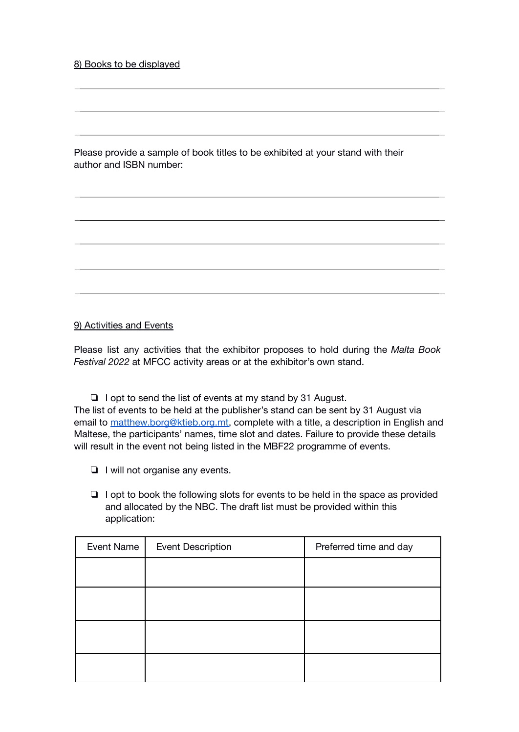8) Books to be displayed

Please provide a sample of book titles to be exhibited at your stand with their author and ISBN number:

# 9) Activities and Events

Please list any activities that the exhibitor proposes to hold during the *Malta Book Festival 2022* at MFCC activity areas or at the exhibitor's own stand.

❏ I opt to send the list of events at my stand by 31 August. The list of events to be held at the publisher's stand can be sent by 31 August via email to [matthew.borg@ktieb.org.mt,](mailto:matthew.borg@ktieb.org.mt) complete with a title, a description in English and Maltese, the participants' names, time slot and dates. Failure to provide these details will result in the event not being listed in the MBF22 programme of events.

- ❏ I will not organise any events.
- ❏ I opt to book the following slots for events to be held in the space as provided and allocated by the NBC. The draft list must be provided within this application:

| Event Name | <b>Event Description</b> | Preferred time and day |
|------------|--------------------------|------------------------|
|            |                          |                        |
|            |                          |                        |
|            |                          |                        |
|            |                          |                        |